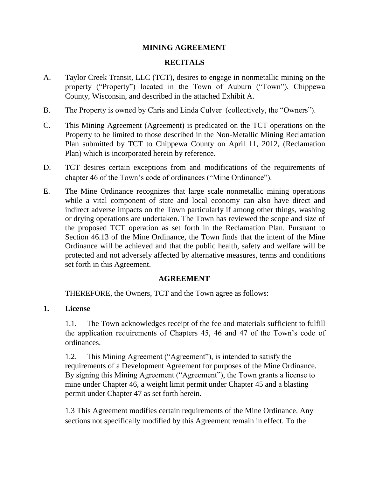# **MINING AGREEMENT**

# **RECITALS**

- A. Taylor Creek Transit, LLC (TCT), desires to engage in nonmetallic mining on the property ("Property") located in the Town of Auburn ("Town"), Chippewa County, Wisconsin, and described in the attached Exhibit A.
- B. The Property is owned by Chris and Linda Culver (collectively, the "Owners").
- C. This Mining Agreement (Agreement) is predicated on the TCT operations on the Property to be limited to those described in the Non-Metallic Mining Reclamation Plan submitted by TCT to Chippewa County on April 11, 2012, (Reclamation Plan) which is incorporated herein by reference.
- D. TCT desires certain exceptions from and modifications of the requirements of chapter 46 of the Town's code of ordinances ("Mine Ordinance").
- E. The Mine Ordinance recognizes that large scale nonmetallic mining operations while a vital component of state and local economy can also have direct and indirect adverse impacts on the Town particularly if among other things, washing or drying operations are undertaken. The Town has reviewed the scope and size of the proposed TCT operation as set forth in the Reclamation Plan. Pursuant to Section 46.13 of the Mine Ordinance, the Town finds that the intent of the Mine Ordinance will be achieved and that the public health, safety and welfare will be protected and not adversely affected by alternative measures, terms and conditions set forth in this Agreement.

## **AGREEMENT**

THEREFORE, the Owners, TCT and the Town agree as follows:

## **1. License**

1.1. The Town acknowledges receipt of the fee and materials sufficient to fulfill the application requirements of Chapters 45, 46 and 47 of the Town's code of ordinances.

1.2. This Mining Agreement ("Agreement"), is intended to satisfy the requirements of a Development Agreement for purposes of the Mine Ordinance. By signing this Mining Agreement ("Agreement"), the Town grants a license to mine under Chapter 46, a weight limit permit under Chapter 45 and a blasting permit under Chapter 47 as set forth herein.

1.3 This Agreement modifies certain requirements of the Mine Ordinance. Any sections not specifically modified by this Agreement remain in effect. To the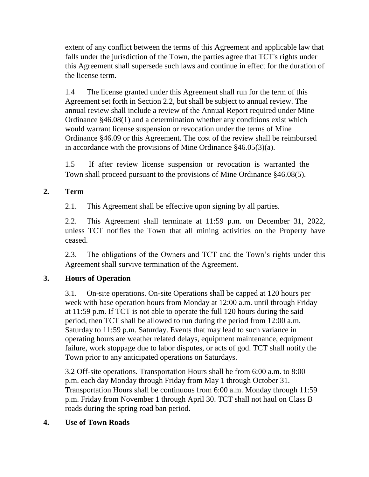extent of any conflict between the terms of this Agreement and applicable law that falls under the jurisdiction of the Town, the parties agree that TCT's rights under this Agreement shall supersede such laws and continue in effect for the duration of the license term.

1.4 The license granted under this Agreement shall run for the term of this Agreement set forth in Section 2.2, but shall be subject to annual review. The annual review shall include a review of the Annual Report required under Mine Ordinance §46.08(1) and a determination whether any conditions exist which would warrant license suspension or revocation under the terms of Mine Ordinance §46.09 or this Agreement. The cost of the review shall be reimbursed in accordance with the provisions of Mine Ordinance §46.05(3)(a).

1.5 If after review license suspension or revocation is warranted the Town shall proceed pursuant to the provisions of Mine Ordinance §46.08(5).

# **2. Term**

2.1. This Agreement shall be effective upon signing by all parties.

2.2. This Agreement shall terminate at 11:59 p.m. on December 31, 2022, unless TCT notifies the Town that all mining activities on the Property have ceased.

2.3. The obligations of the Owners and TCT and the Town's rights under this Agreement shall survive termination of the Agreement.

# **3. Hours of Operation**

3.1. On-site operations. On-site Operations shall be capped at 120 hours per week with base operation hours from Monday at 12:00 a.m. until through Friday at 11:59 p.m. If TCT is not able to operate the full 120 hours during the said period, then TCT shall be allowed to run during the period from 12:00 a.m. Saturday to 11:59 p.m. Saturday. Events that may lead to such variance in operating hours are weather related delays, equipment maintenance, equipment failure, work stoppage due to labor disputes, or acts of god. TCT shall notify the Town prior to any anticipated operations on Saturdays.

3.2 Off-site operations. Transportation Hours shall be from 6:00 a.m. to 8:00 p.m. each day Monday through Friday from May 1 through October 31. Transportation Hours shall be continuous from 6:00 a.m. Monday through 11:59 p.m. Friday from November 1 through April 30. TCT shall not haul on Class B roads during the spring road ban period.

## **4. Use of Town Roads**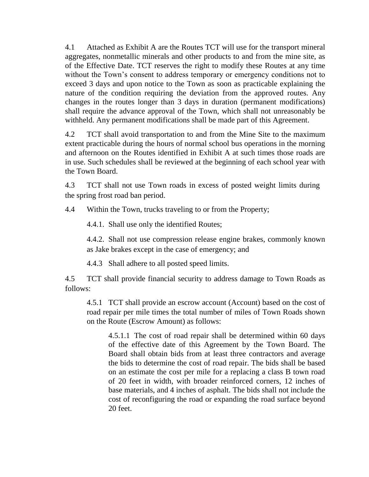4.1 Attached as Exhibit A are the Routes TCT will use for the transport mineral aggregates, nonmetallic minerals and other products to and from the mine site, as of the Effective Date. TCT reserves the right to modify these Routes at any time without the Town's consent to address temporary or emergency conditions not to exceed 3 days and upon notice to the Town as soon as practicable explaining the nature of the condition requiring the deviation from the approved routes. Any changes in the routes longer than 3 days in duration (permanent modifications) shall require the advance approval of the Town, which shall not unreasonably be withheld. Any permanent modifications shall be made part of this Agreement.

4.2 TCT shall avoid transportation to and from the Mine Site to the maximum extent practicable during the hours of normal school bus operations in the morning and afternoon on the Routes identified in Exhibit A at such times those roads are in use. Such schedules shall be reviewed at the beginning of each school year with the Town Board.

4.3 TCT shall not use Town roads in excess of posted weight limits during the spring frost road ban period.

4.4 Within the Town, trucks traveling to or from the Property;

4.4.1. Shall use only the identified Routes;

4.4.2. Shall not use compression release engine brakes, commonly known as Jake brakes except in the case of emergency; and

4.4.3 Shall adhere to all posted speed limits.

4.5 TCT shall provide financial security to address damage to Town Roads as follows:

4.5.1 TCT shall provide an escrow account (Account) based on the cost of road repair per mile times the total number of miles of Town Roads shown on the Route (Escrow Amount) as follows:

4.5.1.1 The cost of road repair shall be determined within 60 days of the effective date of this Agreement by the Town Board. The Board shall obtain bids from at least three contractors and average the bids to determine the cost of road repair. The bids shall be based on an estimate the cost per mile for a replacing a class B town road of 20 feet in width, with broader reinforced corners, 12 inches of base materials, and 4 inches of asphalt. The bids shall not include the cost of reconfiguring the road or expanding the road surface beyond 20 feet.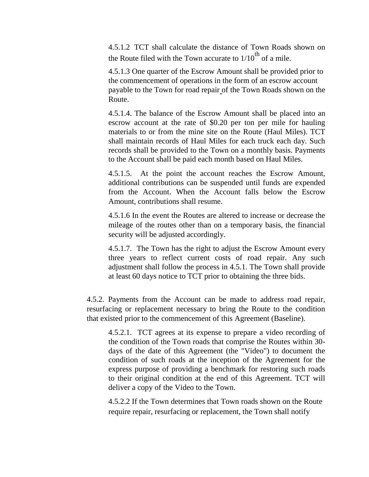4.5.1.2 TCT shall calculate the distance of Town Roads shown on the Route filed with the Town accurate to  $1/10^{th}$  of a mile.

4.5.1.3 One quarter of the Escrow Amount shall be provided prior to the commencement of operations in the form of an escrow account payable to the Town for road repair of the Town Roads shown on the Route.

4.5.1.4. The balance of the Escrow Amount shall be placed into an escrow account at the rate of \$0.20 per ton per mile for hauling materials to or from the mine site on the Route (Haul Miles). TCT shall maintain records of Haul Miles for each truck each day. Such records shall be provided to the Town on a monthly basis. Payments to the Account shall be paid each month based on Haul Miles.

4.5.1.5. At the point the account reaches the Escrow Amount, additional contributions can be suspended until funds are expended from the Account. When the Account falls below the Escrow Amount, contributions shall resume.

4.5.1.6 In the event the Routes are altered to increase or decrease the mileage of the routes other than on a temporary basis, the financial security will be adjusted accordingly.

4.5.1.7. The Town has the right to adjust the Escrow Amount every three years to reflect current costs of road repair. Any such adjustment shall follow the process in 4.5.1. The Town shall provide at least 60 days notice to TCT prior to obtaining the three bids.

4.5.2. Payments from the Account can be made to address road repair, resurfacing or replacement necessary to bring the Route to the condition that existed prior to the commencement of this Agreement (Baseline).

4.5.2.1. TCT agrees at its expense to prepare a video recording of the condition of the Town roads that comprise the Routes within 30 days of the date of this Agreement (the "Video") to document the condition of such roads at the inception of the Agreement for the express purpose of providing a benchmark for restoring such roads to their original condition at the end of this Agreement. TCT will deliver a copy of the Video to the Town.

4.5.2.2 If the Town determines that Town roads shown on the Route require repair, resurfacing or replacement, the Town shall notify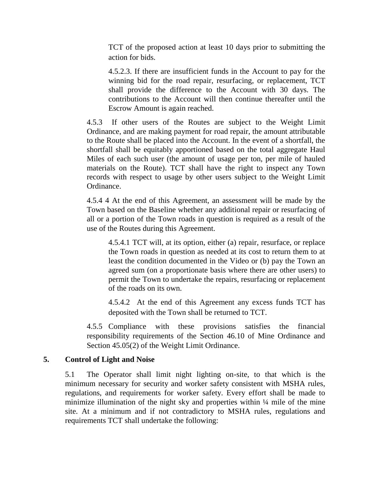TCT of the proposed action at least 10 days prior to submitting the action for bids.

4.5.2.3. If there are insufficient funds in the Account to pay for the winning bid for the road repair, resurfacing, or replacement, TCT shall provide the difference to the Account with 30 days. The contributions to the Account will then continue thereafter until the Escrow Amount is again reached.

4.5.3 If other users of the Routes are subject to the Weight Limit Ordinance, and are making payment for road repair, the amount attributable to the Route shall be placed into the Account. In the event of a shortfall, the shortfall shall be equitably apportioned based on the total aggregate Haul Miles of each such user (the amount of usage per ton, per mile of hauled materials on the Route). TCT shall have the right to inspect any Town records with respect to usage by other users subject to the Weight Limit Ordinance.

4.5.4 4 At the end of this Agreement, an assessment will be made by the Town based on the Baseline whether any additional repair or resurfacing of all or a portion of the Town roads in question is required as a result of the use of the Routes during this Agreement.

4.5.4.1 TCT will, at its option, either (a) repair, resurface, or replace the Town roads in question as needed at its cost to return them to at least the condition documented in the Video or (b) pay the Town an agreed sum (on a proportionate basis where there are other users) to permit the Town to undertake the repairs, resurfacing or replacement of the roads on its own.

4.5.4.2 At the end of this Agreement any excess funds TCT has deposited with the Town shall be returned to TCT.

4.5.5 Compliance with these provisions satisfies the financial responsibility requirements of the Section 46.10 of Mine Ordinance and Section 45.05(2) of the Weight Limit Ordinance.

## **5. Control of Light and Noise**

5.1 The Operator shall limit night lighting on-site, to that which is the minimum necessary for security and worker safety consistent with MSHA rules, regulations, and requirements for worker safety. Every effort shall be made to minimize illumination of the night sky and properties within  $\frac{1}{4}$  mile of the mine site. At a minimum and if not contradictory to MSHA rules, regulations and requirements TCT shall undertake the following: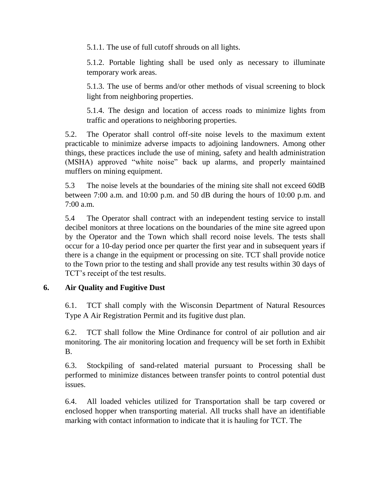5.1.1. The use of full cutoff shrouds on all lights.

5.1.2. Portable lighting shall be used only as necessary to illuminate temporary work areas.

5.1.3. The use of berms and/or other methods of visual screening to block light from neighboring properties.

5.1.4. The design and location of access roads to minimize lights from traffic and operations to neighboring properties.

5.2. The Operator shall control off-site noise levels to the maximum extent practicable to minimize adverse impacts to adjoining landowners. Among other things, these practices include the use of mining, safety and health administration (MSHA) approved "white noise" back up alarms, and properly maintained mufflers on mining equipment.

5.3 The noise levels at the boundaries of the mining site shall not exceed 60dB between 7:00 a.m. and 10:00 p.m. and 50 dB during the hours of 10:00 p.m. and 7:00 a.m.

5.4 The Operator shall contract with an independent testing service to install decibel monitors at three locations on the boundaries of the mine site agreed upon by the Operator and the Town which shall record noise levels. The tests shall occur for a 10-day period once per quarter the first year and in subsequent years if there is a change in the equipment or processing on site. TCT shall provide notice to the Town prior to the testing and shall provide any test results within 30 days of TCT's receipt of the test results.

# **6. Air Quality and Fugitive Dust**

6.1. TCT shall comply with the Wisconsin Department of Natural Resources Type A Air Registration Permit and its fugitive dust plan.

6.2. TCT shall follow the Mine Ordinance for control of air pollution and air monitoring. The air monitoring location and frequency will be set forth in Exhibit B.

6.3. Stockpiling of sand-related material pursuant to Processing shall be performed to minimize distances between transfer points to control potential dust issues.

6.4. All loaded vehicles utilized for Transportation shall be tarp covered or enclosed hopper when transporting material. All trucks shall have an identifiable marking with contact information to indicate that it is hauling for TCT. The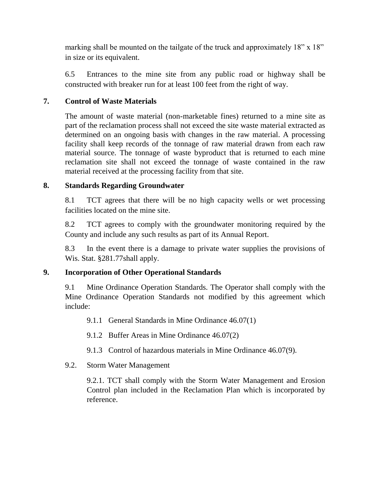marking shall be mounted on the tailgate of the truck and approximately 18" x 18" in size or its equivalent.

6.5 Entrances to the mine site from any public road or highway shall be constructed with breaker run for at least 100 feet from the right of way.

## **7. Control of Waste Materials**

The amount of waste material (non-marketable fines) returned to a mine site as part of the reclamation process shall not exceed the site waste material extracted as determined on an ongoing basis with changes in the raw material. A processing facility shall keep records of the tonnage of raw material drawn from each raw material source. The tonnage of waste byproduct that is returned to each mine reclamation site shall not exceed the tonnage of waste contained in the raw material received at the processing facility from that site.

# **8. Standards Regarding Groundwater**

8.1 TCT agrees that there will be no high capacity wells or wet processing facilities located on the mine site.

8.2 TCT agrees to comply with the groundwater monitoring required by the County and include any such results as part of its Annual Report.

8.3 In the event there is a damage to private water supplies the provisions of Wis. Stat. §281.77shall apply.

# **9. Incorporation of Other Operational Standards**

9.1 Mine Ordinance Operation Standards. The Operator shall comply with the Mine Ordinance Operation Standards not modified by this agreement which include:

9.1.1 General Standards in Mine Ordinance 46.07(1)

9.1.2 Buffer Areas in Mine Ordinance 46.07(2)

9.1.3 Control of hazardous materials in Mine Ordinance 46.07(9).

# 9.2. Storm Water Management

9.2.1. TCT shall comply with the Storm Water Management and Erosion Control plan included in the Reclamation Plan which is incorporated by reference.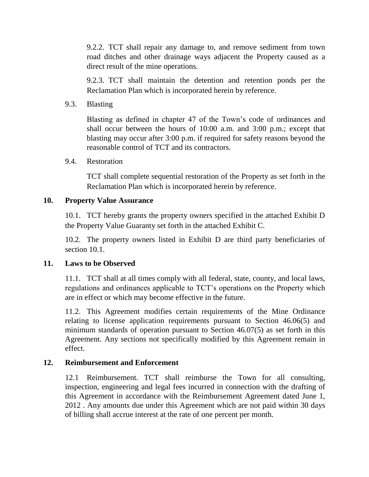9.2.2. TCT shall repair any damage to, and remove sediment from town road ditches and other drainage ways adjacent the Property caused as a direct result of the mine operations.

9.2.3. TCT shall maintain the detention and retention ponds per the Reclamation Plan which is incorporated herein by reference.

9.3. Blasting

Blasting as defined in chapter 47 of the Town's code of ordinances and shall occur between the hours of 10:00 a.m. and 3:00 p.m.; except that blasting may occur after 3:00 p.m. if required for safety reasons beyond the reasonable control of TCT and its contractors.

9.4. Restoration

TCT shall complete sequential restoration of the Property as set forth in the Reclamation Plan which is incorporated herein by reference.

#### **10. Property Value Assurance**

10.1. TCT hereby grants the property owners specified in the attached Exhibit D the Property Value Guaranty set forth in the attached Exhibit C.

10.2. The property owners listed in Exhibit D are third party beneficiaries of section 10.1.

## **11. Laws to be Observed**

11.1. TCT shall at all times comply with all federal, state, county, and local laws, regulations and ordinances applicable to TCT's operations on the Property which are in effect or which may become effective in the future.

11.2. This Agreement modifies certain requirements of the Mine Ordinance relating to license application requirements pursuant to Section 46.06(5) and minimum standards of operation pursuant to Section 46.07(5) as set forth in this Agreement. Any sections not specifically modified by this Agreement remain in effect.

## **12. Reimbursement and Enforcement**

12.1 Reimbursement. TCT shall reimburse the Town for all consulting, inspection, engineering and legal fees incurred in connection with the drafting of this Agreement in accordance with the Reimbursement Agreement dated June 1, 2012 . Any amounts due under this Agreement which are not paid within 30 days of billing shall accrue interest at the rate of one percent per month.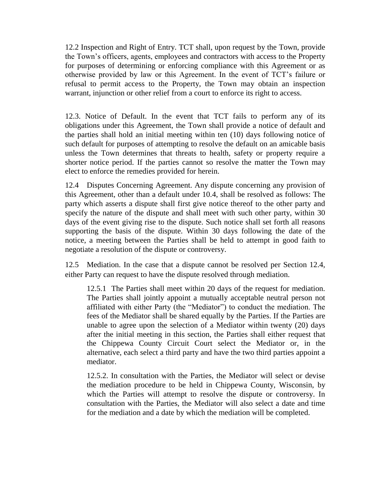12.2 Inspection and Right of Entry. TCT shall, upon request by the Town, provide the Town's officers, agents, employees and contractors with access to the Property for purposes of determining or enforcing compliance with this Agreement or as otherwise provided by law or this Agreement. In the event of TCT's failure or refusal to permit access to the Property, the Town may obtain an inspection warrant, injunction or other relief from a court to enforce its right to access.

12.3. Notice of Default. In the event that TCT fails to perform any of its obligations under this Agreement, the Town shall provide a notice of default and the parties shall hold an initial meeting within ten (10) days following notice of such default for purposes of attempting to resolve the default on an amicable basis unless the Town determines that threats to health, safety or property require a shorter notice period. If the parties cannot so resolve the matter the Town may elect to enforce the remedies provided for herein.

12.4 Disputes Concerning Agreement. Any dispute concerning any provision of this Agreement, other than a default under 10.4, shall be resolved as follows: The party which asserts a dispute shall first give notice thereof to the other party and specify the nature of the dispute and shall meet with such other party, within 30 days of the event giving rise to the dispute. Such notice shall set forth all reasons supporting the basis of the dispute. Within 30 days following the date of the notice, a meeting between the Parties shall be held to attempt in good faith to negotiate a resolution of the dispute or controversy.

12.5 Mediation. In the case that a dispute cannot be resolved per Section 12.4, either Party can request to have the dispute resolved through mediation.

12.5.1 The Parties shall meet within 20 days of the request for mediation. The Parties shall jointly appoint a mutually acceptable neutral person not affiliated with either Party (the "Mediator") to conduct the mediation. The fees of the Mediator shall be shared equally by the Parties. If the Parties are unable to agree upon the selection of a Mediator within twenty (20) days after the initial meeting in this section, the Parties shall either request that the Chippewa County Circuit Court select the Mediator or, in the alternative, each select a third party and have the two third parties appoint a mediator.

12.5.2. In consultation with the Parties, the Mediator will select or devise the mediation procedure to be held in Chippewa County, Wisconsin, by which the Parties will attempt to resolve the dispute or controversy. In consultation with the Parties, the Mediator will also select a date and time for the mediation and a date by which the mediation will be completed.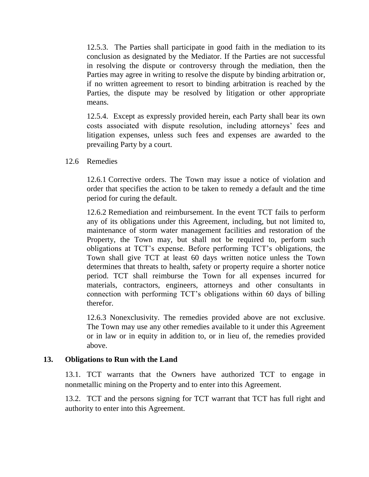12.5.3. The Parties shall participate in good faith in the mediation to its conclusion as designated by the Mediator. If the Parties are not successful in resolving the dispute or controversy through the mediation, then the Parties may agree in writing to resolve the dispute by binding arbitration or, if no written agreement to resort to binding arbitration is reached by the Parties, the dispute may be resolved by litigation or other appropriate means.

12.5.4. Except as expressly provided herein, each Party shall bear its own costs associated with dispute resolution, including attorneys' fees and litigation expenses, unless such fees and expenses are awarded to the prevailing Party by a court.

12.6 Remedies

12.6.1 Corrective orders. The Town may issue a notice of violation and order that specifies the action to be taken to remedy a default and the time period for curing the default.

12.6.2 Remediation and reimbursement. In the event TCT fails to perform any of its obligations under this Agreement, including, but not limited to, maintenance of storm water management facilities and restoration of the Property, the Town may, but shall not be required to, perform such obligations at TCT's expense. Before performing TCT's obligations, the Town shall give TCT at least 60 days written notice unless the Town determines that threats to health, safety or property require a shorter notice period. TCT shall reimburse the Town for all expenses incurred for materials, contractors, engineers, attorneys and other consultants in connection with performing TCT's obligations within 60 days of billing therefor.

12.6.3 Nonexclusivity. The remedies provided above are not exclusive. The Town may use any other remedies available to it under this Agreement or in law or in equity in addition to, or in lieu of, the remedies provided above.

## **13. Obligations to Run with the Land**

13.1. TCT warrants that the Owners have authorized TCT to engage in nonmetallic mining on the Property and to enter into this Agreement.

13.2. TCT and the persons signing for TCT warrant that TCT has full right and authority to enter into this Agreement.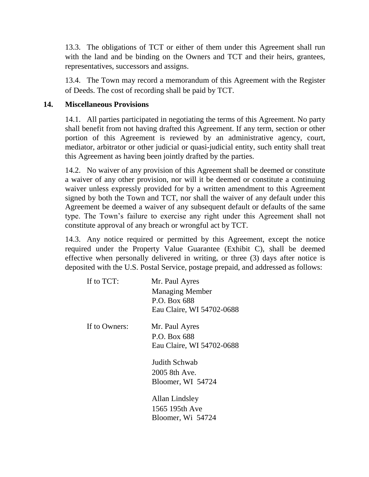13.3. The obligations of TCT or either of them under this Agreement shall run with the land and be binding on the Owners and TCT and their heirs, grantees, representatives, successors and assigns.

13.4. The Town may record a memorandum of this Agreement with the Register of Deeds. The cost of recording shall be paid by TCT.

#### **14. Miscellaneous Provisions**

14.1. All parties participated in negotiating the terms of this Agreement. No party shall benefit from not having drafted this Agreement. If any term, section or other portion of this Agreement is reviewed by an administrative agency, court, mediator, arbitrator or other judicial or quasi-judicial entity, such entity shall treat this Agreement as having been jointly drafted by the parties.

14.2. No waiver of any provision of this Agreement shall be deemed or constitute a waiver of any other provision, nor will it be deemed or constitute a continuing waiver unless expressly provided for by a written amendment to this Agreement signed by both the Town and TCT, nor shall the waiver of any default under this Agreement be deemed a waiver of any subsequent default or defaults of the same type. The Town's failure to exercise any right under this Agreement shall not constitute approval of any breach or wrongful act by TCT.

14.3. Any notice required or permitted by this Agreement, except the notice required under the Property Value Guarantee (Exhibit C), shall be deemed effective when personally delivered in writing, or three (3) days after notice is deposited with the U.S. Postal Service, postage prepaid, and addressed as follows:

| If to TCT:    | Mr. Paul Ayres            |
|---------------|---------------------------|
|               | <b>Managing Member</b>    |
|               | P.O. Box 688              |
|               | Eau Claire, WI 54702-0688 |
| If to Owners: | Mr. Paul Ayres            |
|               | P.O. Box 688              |
|               | Eau Claire, WI 54702-0688 |
|               | Judith Schwab             |
|               | 2005 8th Ave.             |
|               | Bloomer, WI 54724         |
|               | Allan Lindsley            |
|               | 1565 195th Ave            |
|               | Bloomer, Wi 54724         |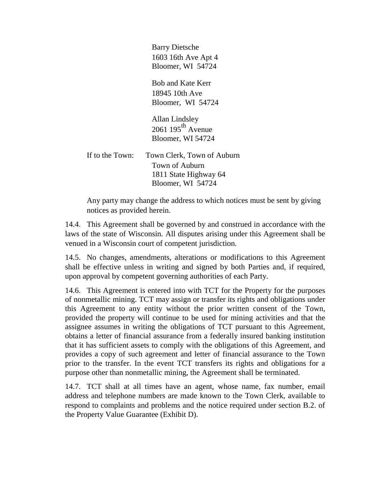Barry Dietsche 1603 16th Ave Apt 4 Bloomer, WI 54724

Bob and Kate Kerr 18945 10th Ave Bloomer, WI 54724

Allan Lindsley 2061  $195^{\text{th}}$  Avenue Bloomer, WI 54724

If to the Town: Town Clerk, Town of Auburn Town of Auburn 1811 State Highway 64 Bloomer, WI 54724

Any party may change the address to which notices must be sent by giving notices as provided herein.

14.4. This Agreement shall be governed by and construed in accordance with the laws of the state of Wisconsin. All disputes arising under this Agreement shall be venued in a Wisconsin court of competent jurisdiction.

14.5. No changes, amendments, alterations or modifications to this Agreement shall be effective unless in writing and signed by both Parties and, if required, upon approval by competent governing authorities of each Party.

14.6. This Agreement is entered into with TCT for the Property for the purposes of nonmetallic mining. TCT may assign or transfer its rights and obligations under this Agreement to any entity without the prior written consent of the Town, provided the property will continue to be used for mining activities and that the assignee assumes in writing the obligations of TCT pursuant to this Agreement, obtains a letter of financial assurance from a federally insured banking institution that it has sufficient assets to comply with the obligations of this Agreement, and provides a copy of such agreement and letter of financial assurance to the Town prior to the transfer. In the event TCT transfers its rights and obligations for a purpose other than nonmetallic mining, the Agreement shall be terminated.

14.7. TCT shall at all times have an agent, whose name, fax number, email address and telephone numbers are made known to the Town Clerk, available to respond to complaints and problems and the notice required under section B.2. of the Property Value Guarantee (Exhibit D).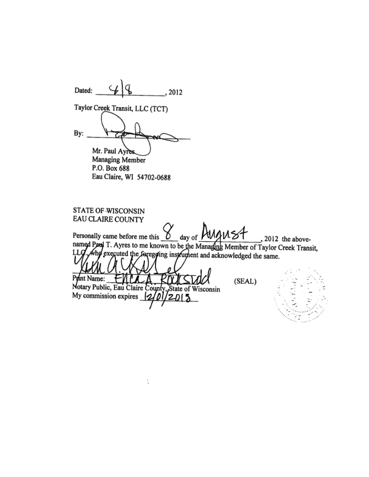Dated: , 2012 Taylor Creek Transit, LLC (TCT) By: Mr. Paul Ayres. Managing Member P.O. Box 688 Eau Claire, WI 54702-0688 STATE OF WISCONSIN EAU CLAIRE COUNTY day of August Personally came before me this , 2012 the abovenamed Paul T. Ayres to me known to be the Managing Member of Taylor Creek Transit, , who executed the foregoing instrument and acknowledged the same. LLQ Pyint Name: (SEAL) Notary Public, Eau Claire County, State of Wisconsin My commission expires  $\{2\}$  $'$ 2015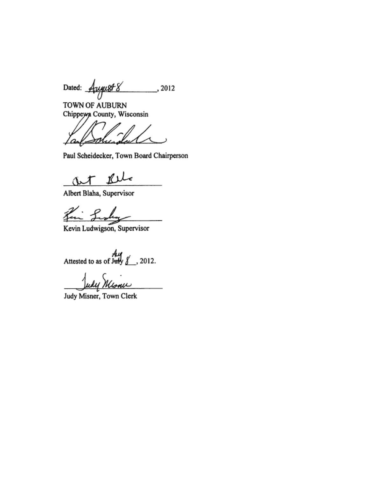Dated: August 8  $\frac{1}{2012}$ 

TOWN OF AUBURN Chippeyya County, Wisconsin

Wurder l os

Paul Scheidecker, Town Board Chairperson

Rele wt

Albert Blaha, Supervisor

Kin Looks

Kevin Ludwigson, Supervisor

Attested to as of July  $\frac{A_{11}}{2}$ , 2012.

Judy Misner, Town Clerk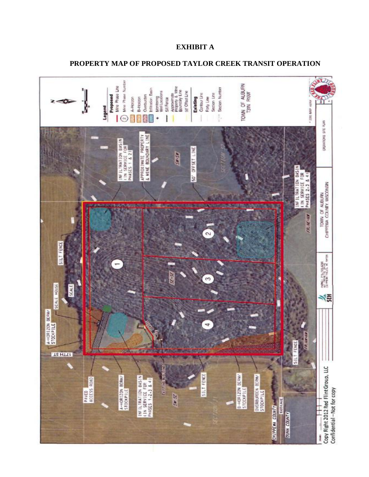#### **EXHIBIT A**

#### **PROPERTY MAP OF PROPOSED TAYLOR CREEK TRANSIT OPERATION**

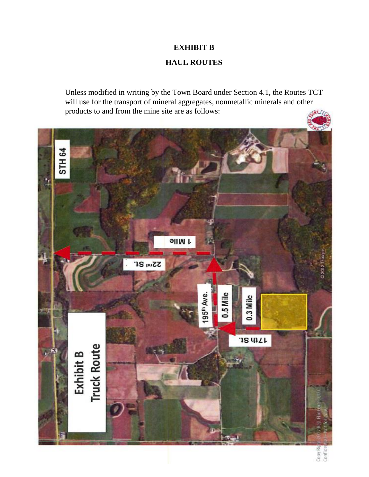# **EXHIBIT B**

# **HAUL ROUTES**

Unless modified in writing by the Town Board under Section 4.1, the Routes TCT will use for the transport of mineral aggregates, nonmetallic minerals and other products to and from the mine site are as follows:



Copy Rig<br>Confide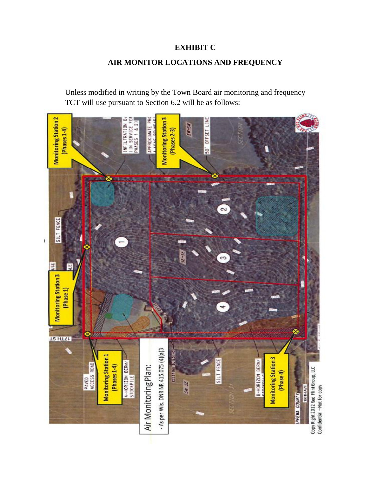# **EXHIBIT C**

# **AIR MONITOR LOCATIONS AND FREQUENCY**

Unless modified in writing by the Town Board air monitoring and frequency TCT will use pursuant to Section 6.2 will be as follows:

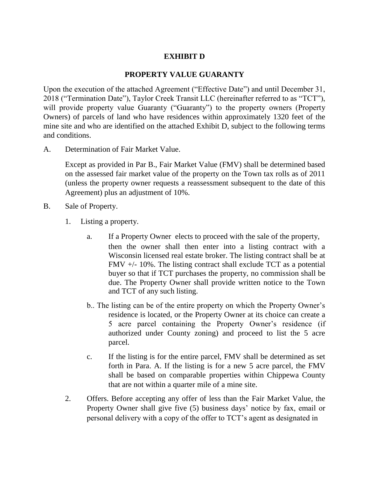# **EXHIBIT D**

#### **PROPERTY VALUE GUARANTY**

Upon the execution of the attached Agreement ("Effective Date") and until December 31, 2018 ("Termination Date"), Taylor Creek Transit LLC (hereinafter referred to as "TCT"), will provide property value Guaranty ("Guaranty") to the property owners (Property Owners) of parcels of land who have residences within approximately 1320 feet of the mine site and who are identified on the attached Exhibit D, subject to the following terms and conditions.

A. Determination of Fair Market Value.

Except as provided in Par B., Fair Market Value (FMV) shall be determined based on the assessed fair market value of the property on the Town tax rolls as of 2011 (unless the property owner requests a reassessment subsequent to the date of this Agreement) plus an adjustment of 10%.

- B. Sale of Property.
	- 1. Listing a property.
		- a. If a Property Owner elects to proceed with the sale of the property, then the owner shall then enter into a listing contract with a Wisconsin licensed real estate broker. The listing contract shall be at FMV  $+/- 10\%$ . The listing contract shall exclude TCT as a potential buyer so that if TCT purchases the property, no commission shall be due. The Property Owner shall provide written notice to the Town and TCT of any such listing.
		- b.. The listing can be of the entire property on which the Property Owner's residence is located, or the Property Owner at its choice can create a 5 acre parcel containing the Property Owner's residence (if authorized under County zoning) and proceed to list the 5 acre parcel.
		- c. If the listing is for the entire parcel, FMV shall be determined as set forth in Para. A. If the listing is for a new 5 acre parcel, the FMV shall be based on comparable properties within Chippewa County that are not within a quarter mile of a mine site.
	- 2. Offers. Before accepting any offer of less than the Fair Market Value, the Property Owner shall give five (5) business days' notice by fax, email or personal delivery with a copy of the offer to TCT's agent as designated in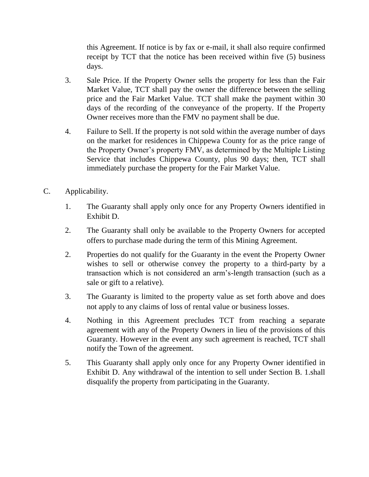this Agreement. If notice is by fax or e-mail, it shall also require confirmed receipt by TCT that the notice has been received within five (5) business days.

- 3. Sale Price. If the Property Owner sells the property for less than the Fair Market Value, TCT shall pay the owner the difference between the selling price and the Fair Market Value. TCT shall make the payment within 30 days of the recording of the conveyance of the property. If the Property Owner receives more than the FMV no payment shall be due.
- 4. Failure to Sell. If the property is not sold within the average number of days on the market for residences in Chippewa County for as the price range of the Property Owner's property FMV, as determined by the Multiple Listing Service that includes Chippewa County, plus 90 days; then, TCT shall immediately purchase the property for the Fair Market Value.
- C. Applicability.
	- 1. The Guaranty shall apply only once for any Property Owners identified in Exhibit D.
	- 2. The Guaranty shall only be available to the Property Owners for accepted offers to purchase made during the term of this Mining Agreement.
	- 2. Properties do not qualify for the Guaranty in the event the Property Owner wishes to sell or otherwise convey the property to a third-party by a transaction which is not considered an arm's-length transaction (such as a sale or gift to a relative).
	- 3. The Guaranty is limited to the property value as set forth above and does not apply to any claims of loss of rental value or business losses.
	- 4. Nothing in this Agreement precludes TCT from reaching a separate agreement with any of the Property Owners in lieu of the provisions of this Guaranty. However in the event any such agreement is reached, TCT shall notify the Town of the agreement.
	- 5. This Guaranty shall apply only once for any Property Owner identified in Exhibit D. Any withdrawal of the intention to sell under Section B. 1.shall disqualify the property from participating in the Guaranty.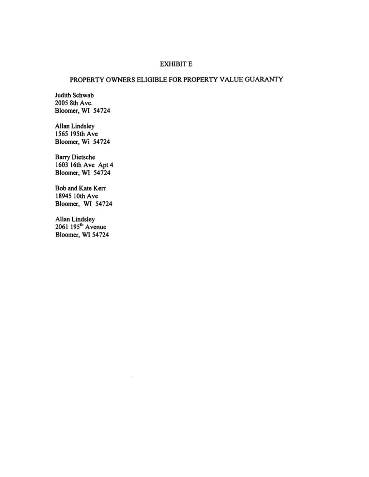#### **EXHIBIT E**

#### PROPERTY OWNERS ELIGIBLE FOR PROPERTY VALUE GUARANTY

Judith Schwab 2005 8th Ave. Bloomer, WI 54724

Allan Lindsley 1565 195th Ave Bloomer, Wi 54724

**Barry Dietsche** 1603 16th Ave Apt 4<br>Bloomer, WI 54724

Bob and Kate Kerr 18945 10th Ave Bloomer, WI 54724

Allan Lindsley<br>2061 195<sup>th</sup> Avenue Bloomer, WI 54724

 $\overline{a}$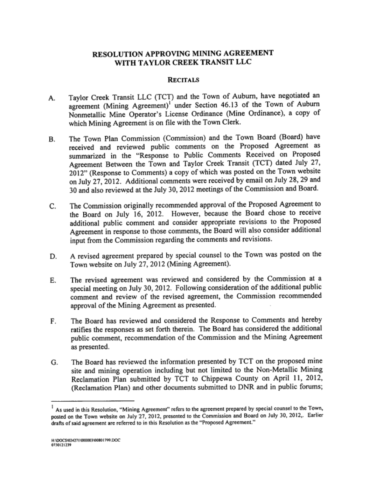## RESOLUTION APPROVING MINING AGREEMENT WITH TAYLOR CREEK TRANSIT LLC

#### **RECITALS**

- Taylor Creek Transit LLC (TCT) and the Town of Auburn, have negotiated an А. agreement (Mining Agreement)<sup>1</sup> under Section 46.13 of the Town of Auburn Nonmetallic Mine Operator's License Ordinance (Mine Ordinance), a copy of which Mining Agreement is on file with the Town Clerk.
- The Town Plan Commission (Commission) and the Town Board (Board) have В. received and reviewed public comments on the Proposed Agreement as summarized in the "Response to Public Comments Received on Proposed Agreement Between the Town and Taylor Creek Transit (TCT) dated July 27, 2012" (Response to Comments) a copy of which was posted on the Town website on July 27, 2012. Additional comments were received by email on July 28, 29 and 30 and also reviewed at the July 30, 2012 meetings of the Commission and Board.
- The Commission originally recommended approval of the Proposed Agreement to C. the Board on July 16, 2012. However, because the Board chose to receive additional public comment and consider appropriate revisions to the Proposed Agreement in response to those comments, the Board will also consider additional input from the Commission regarding the comments and revisions.
- A revised agreement prepared by special counsel to the Town was posted on the D. Town website on July 27, 2012 (Mining Agreement).
- The revised agreement was reviewed and considered by the Commission at a Е. special meeting on July 30, 2012. Following consideration of the additional public comment and review of the revised agreement, the Commission recommended approval of the Mining Agreement as presented.
- The Board has reviewed and considered the Response to Comments and hereby F. ratifies the responses as set forth therein. The Board has considered the additional public comment, recommendation of the Commission and the Mining Agreement as presented.
- The Board has reviewed the information presented by TCT on the proposed mine G. site and mining operation including but not limited to the Non-Metallic Mining Reclamation Plan submitted by TCT to Chippewa County on April 11, 2012, (Reclamation Plan) and other documents submitted to DNR and in public forums;

As used in this Resolution, "Mining Agreement" refers to the agreement prepared by special counsel to the Town, posted on the Town website on July 27, 2012, presented to the Commission and Board on July 30, 2012,. Earlier drafts of said agreement are referred to in this Resolution as the "Proposed Agreement."